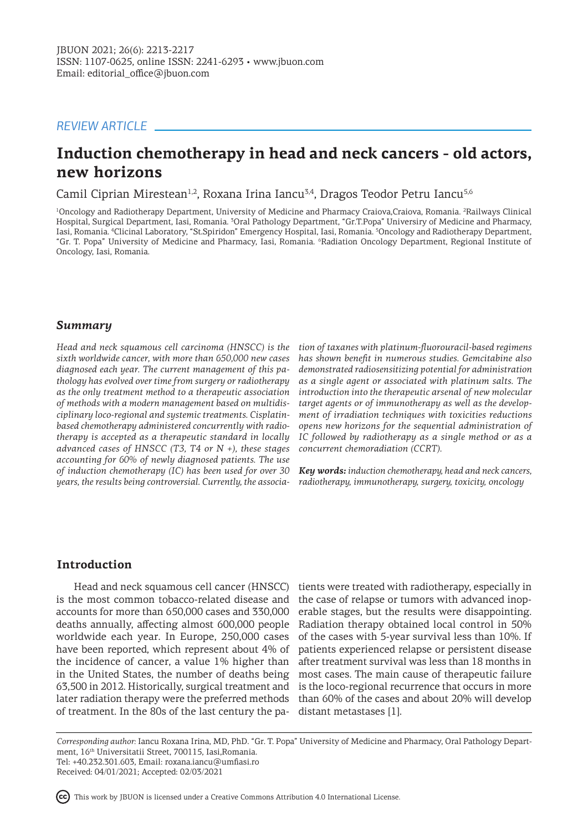# *REVIEW ARTICLE*

# **Induction chemotherapy in head and neck cancers - old actors, new horizons**

Camil Ciprian Mirestean<sup>1,2</sup>, Roxana Irina Iancu<sup>3,4</sup>, Dragos Teodor Petru Iancu<sup>5,6</sup>

<sup>1</sup>Oncology and Radiotherapy Department, University of Medicine and Pharmacy Craiova,Craiova, Romania. <sup>2</sup>Railways Clinical Hospital, Surgical Department, Iasi, Romania. <sup>3</sup>Oral Pathology Department, "Gr.T.Popa" Universiry of Medicine and Pharmacy, Iasi, Romania. <sup>4</sup> Clicinal Laboratory, "St.Spiridon" Emergency Hospital, Iasi, Romania. <sup>5</sup> Oncology and Radiotherapy Department, "Gr. T. Popa" University of Medicine and Pharmacy, Iasi, Romania. <sup>6</sup> Radiation Oncology Department, Regional Institute of Oncology, Iasi, Romania.

## *Summary*

*Head and neck squamous cell carcinoma (HNSCC) is the tion of taxanes with platinum-fluorouracil-based regimens sixth worldwide cancer, with more than 650,000 new cases diagnosed each year. The current management of this pathology has evolved over time from surgery or radiotherapy as the only treatment method to a therapeutic association of methods with a modern management based on multidisciplinary loco-regional and systemic treatments. Cisplatinbased chemotherapy administered concurrently with radiotherapy is accepted as a therapeutic standard in locally advanced cases of HNSCC (T3, T4 or N +), these stages accounting for 60% of newly diagnosed patients. The use of induction chemotherapy (IC) has been used for over 30 years, the results being controversial. Currently, the associa-*

*has shown benefit in numerous studies. Gemcitabine also demonstrated radiosensitizing potential for administration as a single agent or associated with platinum salts. The introduction into the therapeutic arsenal of new molecular target agents or of immunotherapy as well as the development of irradiation techniques with toxicities reductions opens new horizons for the sequential administration of IC followed by radiotherapy as a single method or as a concurrent chemoradiation (CCRT).*

*Key words: induction chemotherapy, head and neck cancers, radiotherapy, immunotherapy, surgery, toxicity, oncology*

### **Introduction**

is the most common tobacco-related disease and accounts for more than 650,000 cases and 330,000 deaths annually, affecting almost 600,000 people worldwide each year. In Europe, 250,000 cases have been reported, which represent about 4% of the incidence of cancer, a value 1% higher than in the United States, the number of deaths being 63,500 in 2012. Historically, surgical treatment and later radiation therapy were the preferred methods of treatment. In the 80s of the last century the pa-

Head and neck squamous cell cancer (HNSCC) tients were treated with radiotherapy, especially in the case of relapse or tumors with advanced inoperable stages, but the results were disappointing. Radiation therapy obtained local control in 50% of the cases with 5-year survival less than 10%. If patients experienced relapse or persistent disease after treatment survival was less than 18 months in most cases. The main cause of therapeutic failure is the loco-regional recurrence that occurs in more than 60% of the cases and about 20% will develop distant metastases [1].

*Corresponding author:* Iancu Roxana Irina, MD, PhD. "Gr. T. Popa" University of Medicine and Pharmacy, Oral Pathology Department, 16th Universitatii Street, 700115, Iasi,Romania. Tel: +40.232.301.603, Email: roxana.iancu@umfiasi.ro Received: 04/01/2021; Accepted: 02/03/2021

This work by JBUON is licensed under a Creative Commons Attribution 4.0 International License.

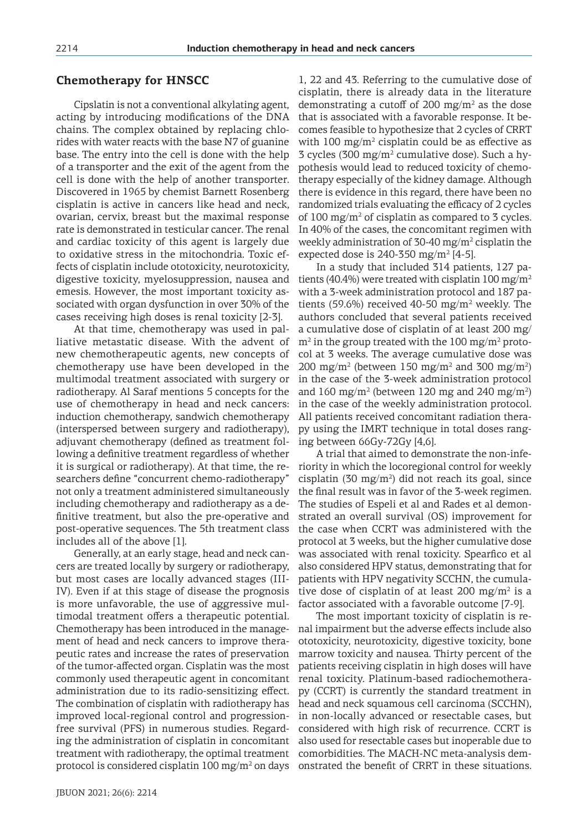## **Chemotherapy for HNSCC**

Cipslatin is not a conventional alkylating agent, acting by introducing modifications of the DNA chains. The complex obtained by replacing chlorides with water reacts with the base N7 of guanine base. The entry into the cell is done with the help of a transporter and the exit of the agent from the cell is done with the help of another transporter. Discovered in 1965 by chemist Barnett Rosenberg cisplatin is active in cancers like head and neck, ovarian, cervix, breast but the maximal response rate is demonstrated in testicular cancer. The renal and cardiac toxicity of this agent is largely due to oxidative stress in the mitochondria. Toxic effects of cisplatin include ototoxicity, neurotoxicity, digestive toxicity, myelosuppression, nausea and emesis. However, the most important toxicity associated with organ dysfunction in over 30% of the cases receiving high doses is renal toxicity [2-3].

At that time, chemotherapy was used in palliative metastatic disease. With the advent of new chemotherapeutic agents, new concepts of chemotherapy use have been developed in the multimodal treatment associated with surgery or radiotherapy. Al Saraf mentions 5 concepts for the use of chemotherapy in head and neck cancers: induction chemotherapy, sandwich chemotherapy (interspersed between surgery and radiotherapy), adjuvant chemotherapy (defined as treatment following a definitive treatment regardless of whether it is surgical or radiotherapy). At that time, the researchers define "concurrent chemo-radiotherapy" not only a treatment administered simultaneously including chemotherapy and radiotherapy as a definitive treatment, but also the pre-operative and post-operative sequences. The 5th treatment class includes all of the above [1].

Generally, at an early stage, head and neck cancers are treated locally by surgery or radiotherapy, but most cases are locally advanced stages (III-IV). Even if at this stage of disease the prognosis is more unfavorable, the use of aggressive multimodal treatment offers a therapeutic potential. Chemotherapy has been introduced in the management of head and neck cancers to improve therapeutic rates and increase the rates of preservation of the tumor-affected organ. Cisplatin was the most commonly used therapeutic agent in concomitant administration due to its radio-sensitizing effect. The combination of cisplatin with radiotherapy has improved local-regional control and progressionfree survival (PFS) in numerous studies. Regarding the administration of cisplatin in concomitant treatment with radiotherapy, the optimal treatment protocol is considered cisplatin  $100 \text{ mg/m}^2$  on days 1, 22 and 43. Referring to the cumulative dose of cisplatin, there is already data in the literature demonstrating a cutoff of 200 mg/m<sup>2</sup> as the dose that is associated with a favorable response. It becomes feasible to hypothesize that 2 cycles of CRRT with  $100 \text{ mg/m}^2$  cisplatin could be as effective as 3 cycles (300 mg/m<sup>2</sup> cumulative dose). Such a hypothesis would lead to reduced toxicity of chemotherapy especially of the kidney damage. Although there is evidence in this regard, there have been no randomized trials evaluating the efficacy of 2 cycles of  $100 \text{ mg/m}^2$  of cisplatin as compared to 3 cycles. In 40% of the cases, the concomitant regimen with weekly administration of 30-40 mg/m<sup>2</sup> cisplatin the expected dose is 240-350 mg/m<sup>2</sup> [4-5].

In a study that included 314 patients, 127 patients (40.4%) were treated with cisplatin 100 mg/m<sup>2</sup> with a 3-week administration protocol and 187 patients (59.6%) received 40-50  $mg/m^2$  weekly. The authors concluded that several patients received a cumulative dose of cisplatin of at least 200 mg/  $\text{m}^2$  in the group treated with the 100 mg/m<sup>2</sup> protocol at 3 weeks. The average cumulative dose was 200 mg/m<sup>2</sup> (between 150 mg/m<sup>2</sup> and 300 mg/m<sup>2</sup>) in the case of the 3-week administration protocol and 160 mg/m<sup>2</sup> (between 120 mg and 240 mg/m<sup>2</sup>) in the case of the weekly administration protocol. All patients received concomitant radiation therapy using the IMRT technique in total doses ranging between 66Gy-72Gy [4,6].

A trial that aimed to demonstrate the non-inferiority in which the locoregional control for weekly cisplatin (30 mg/m<sup>2</sup>) did not reach its goal, since the final result was in favor of the 3-week regimen. The studies of Espeli et al and Rades et al demonstrated an overall survival (OS) improvement for the case when CCRT was administered with the protocol at 3 weeks, but the higher cumulative dose was associated with renal toxicity. Spearfico et al also considered HPV status, demonstrating that for patients with HPV negativity SCCHN, the cumulative dose of cisplatin of at least 200 mg/m<sup>2</sup> is a factor associated with a favorable outcome [7-9].

The most important toxicity of cisplatin is renal impairment but the adverse effects include also ototoxicity, neurotoxicity, digestive toxicity, bone marrow toxicity and nausea. Thirty percent of the patients receiving cisplatin in high doses will have renal toxicity. Platinum-based radiochemotherapy (CCRT) is currently the standard treatment in head and neck squamous cell carcinoma (SCCHN), in non-locally advanced or resectable cases, but considered with high risk of recurrence. CCRT is also used for resectable cases but inoperable due to comorbidities. The MACH-NC meta-analysis demonstrated the benefit of CRRT in these situations.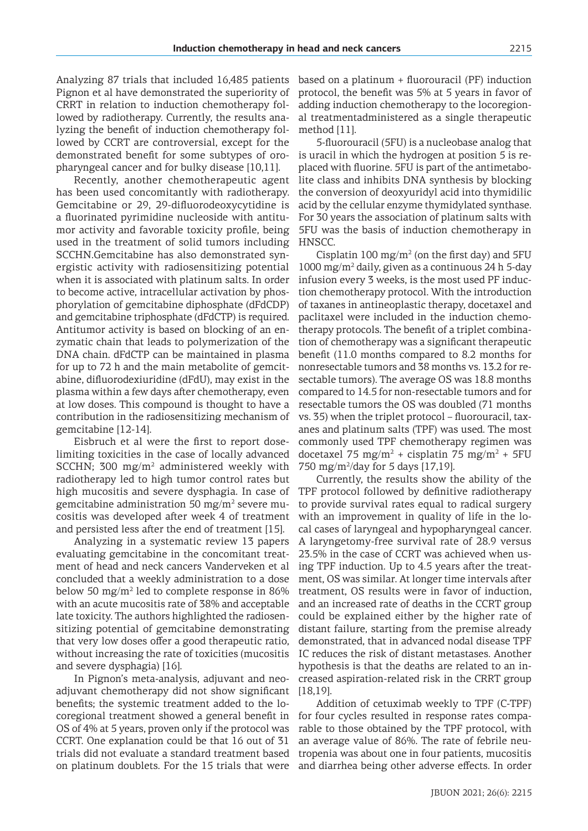Analyzing 87 trials that included 16,485 patients Pignon et al have demonstrated the superiority of CRRT in relation to induction chemotherapy followed by radiotherapy. Currently, the results analyzing the benefit of induction chemotherapy followed by CCRT are controversial, except for the demonstrated benefit for some subtypes of oropharyngeal cancer and for bulky disease [10,11].

Recently, another chemotherapeutic agent has been used concomitantly with radiotherapy. Gemcitabine or 29, 29-difluorodeoxycytidine is a fluorinated pyrimidine nucleoside with antitumor activity and favorable toxicity profile, being used in the treatment of solid tumors including SCCHN.Gemcitabine has also demonstrated synergistic activity with radiosensitizing potential when it is associated with platinum salts. In order to become active, intracellular activation by phosphorylation of gemcitabine diphosphate (dFdCDP) and gemcitabine triphosphate (dFdCTP) is required. Antitumor activity is based on blocking of an enzymatic chain that leads to polymerization of the DNA chain. dFdCTP can be maintained in plasma for up to 72 h and the main metabolite of gemcitabine, difluorodexiuridine (dFdU), may exist in the plasma within a few days after chemotherapy, even at low doses. This compound is thought to have a contribution in the radiosensitizing mechanism of gemcitabine [12-14].

Eisbruch et al were the first to report doselimiting toxicities in the case of locally advanced SCCHN; 300  $mg/m^2$  administered weekly with radiotherapy led to high tumor control rates but high mucositis and severe dysphagia. In case of gemcitabine administration 50 mg/m<sup>2</sup> severe mucositis was developed after week 4 of treatment and persisted less after the end of treatment [15].

Analyzing in a systematic review 13 papers evaluating gemcitabine in the concomitant treatment of head and neck cancers Vanderveken et al concluded that a weekly administration to a dose below 50 mg/m<sup>2</sup> led to complete response in 86% with an acute mucositis rate of 38% and acceptable late toxicity. The authors highlighted the radiosensitizing potential of gemcitabine demonstrating that very low doses offer a good therapeutic ratio, without increasing the rate of toxicities (mucositis and severe dysphagia) [16].

In Pignon's meta-analysis, adjuvant and neoadjuvant chemotherapy did not show significant benefits; the systemic treatment added to the locoregional treatment showed a general benefit in OS of 4% at 5 years, proven only if the protocol was CCRT. One explanation could be that 16 out of 31 trials did not evaluate a standard treatment based on platinum doublets. For the 15 trials that were

based on a platinum + fluorouracil (PF) induction protocol, the benefit was 5% at 5 years in favor of adding induction chemotherapy to the locoregional treatmentadministered as a single therapeutic method [11].

5-fluorouracil (5FU) is a nucleobase analog that is uracil in which the hydrogen at position 5 is replaced with fluorine. 5FU is part of the antimetabolite class and inhibits DNA synthesis by blocking the conversion of deoxyuridyl acid into thymidilic acid by the cellular enzyme thymidylated synthase. For 30 years the association of platinum salts with 5FU was the basis of induction chemotherapy in HNSCC.

Cisplatin 100  $mg/m^2$  (on the first day) and 5FU 1000 mg/m<sup>2</sup> daily, given as a continuous 24 h 5-day infusion every 3 weeks, is the most used PF induction chemotherapy protocol. With the introduction of taxanes in antineoplastic therapy, docetaxel and paclitaxel were included in the induction chemotherapy protocols. The benefit of a triplet combination of chemotherapy was a significant therapeutic benefit (11.0 months compared to 8.2 months for nonresectable tumors and 38 months vs. 13.2 for resectable tumors). The average OS was 18.8 months compared to 14.5 for non-resectable tumors and for resectable tumors the OS was doubled (71 months vs. 35) when the triplet protocol – fluorouracil, taxanes and platinum salts (TPF) was used. The most commonly used TPF chemotherapy regimen was docetaxel 75 mg/m<sup>2</sup> + cisplatin 75 mg/m<sup>2</sup> + 5FU 750 mg/m<sup>2</sup>/day for 5 days [17,19].

Currently, the results show the ability of the TPF protocol followed by definitive radiotherapy to provide survival rates equal to radical surgery with an improvement in quality of life in the local cases of laryngeal and hypopharyngeal cancer. A laryngetomy-free survival rate of 28.9 versus 23.5% in the case of CCRT was achieved when using TPF induction. Up to 4.5 years after the treatment, OS was similar. At longer time intervals after treatment, OS results were in favor of induction, and an increased rate of deaths in the CCRT group could be explained either by the higher rate of distant failure, starting from the premise already demonstrated, that in advanced nodal disease TPF IC reduces the risk of distant metastases. Another hypothesis is that the deaths are related to an increased aspiration-related risk in the CRRT group [18,19].

Addition of cetuximab weekly to TPF (C-TPF) for four cycles resulted in response rates comparable to those obtained by the TPF protocol, with an average value of 86%. The rate of febrile neutropenia was about one in four patients, mucositis and diarrhea being other adverse effects. In order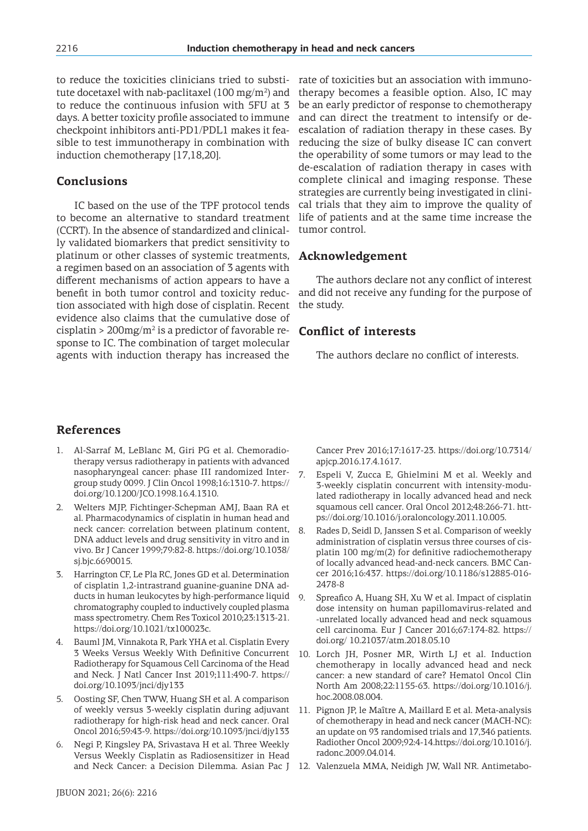to reduce the toxicities clinicians tried to substitute docetaxel with nab-paclitaxel (100 mg/m $^2$ ) and to reduce the continuous infusion with 5FU at 3 days. A better toxicity profile associated to immune checkpoint inhibitors anti-PD1/PDL1 makes it feasible to test immunotherapy in combination with induction chemotherapy [17,18,20].

# **Conclusions**

IC based on the use of the TPF protocol tends to become an alternative to standard treatment (CCRT). In the absence of standardized and clinically validated biomarkers that predict sensitivity to platinum or other classes of systemic treatments, a regimen based on an association of 3 agents with different mechanisms of action appears to have a benefit in both tumor control and toxicity reduction associated with high dose of cisplatin. Recent evidence also claims that the cumulative dose of cisplatin > 200 $mg/m^2$  is a predictor of favorable response to IC. The combination of target molecular agents with induction therapy has increased the

rate of toxicities but an association with immunotherapy becomes a feasible option. Also, IC may be an early predictor of response to chemotherapy and can direct the treatment to intensify or deescalation of radiation therapy in these cases. By reducing the size of bulky disease IC can convert the operability of some tumors or may lead to the de-escalation of radiation therapy in cases with complete clinical and imaging response. These strategies are currently being investigated in clinical trials that they aim to improve the quality of life of patients and at the same time increase the tumor control.

### **Acknowledgement**

The authors declare not any conflict of interest and did not receive any funding for the purpose of the study.

### **Conflict of interests**

The authors declare no conflict of interests.

# **References**

- 1. Al-Sarraf M, LeBlanc M, Giri PG et al. Chemoradiotherapy versus radiotherapy in patients with advanced nasopharyngeal cancer: phase III randomized Intergroup study 0099. J Clin Oncol 1998;16:1310-7. https:// doi.org/10.1200/JCO.1998.16.4.1310.
- 2. Welters MJP, Fichtinger-Schepman AMJ, Baan RA et al. Pharmacodynamics of cisplatin in human head and neck cancer: correlation between platinum content, DNA adduct levels and drug sensitivity in vitro and in vivo. Br J Cancer 1999;79:82-8. https://doi.org/10.1038/ sj.bjc.6690015.
- 3. Harrington CF, Le Pla RC, Jones GD et al. Determination of cisplatin 1,2-intrastrand guanine-guanine DNA adducts in human leukocytes by high-performance liquid chromatography coupled to inductively coupled plasma mass spectrometry. Chem Res Toxicol 2010;23:1313-21. https://doi.org/10.1021/tx100023c.
- 4. Bauml JM, Vinnakota R, Park YHA et al. Cisplatin Every 3 Weeks Versus Weekly With Definitive Concurrent Radiotherapy for Squamous Cell Carcinoma of the Head and Neck. J Natl Cancer Inst 2019;111:490-7. https:// doi.org/10.1093/jnci/djy133
- 5. Oosting SF, Chen TWW, Huang SH et al. A comparison of weekly versus 3-weekly cisplatin during adjuvant radiotherapy for high-risk head and neck cancer. Oral Oncol 2016;59:43-9. https://doi.org/10.1093/jnci/djy133
- 6. Negi P, Kingsley PA, Srivastava H et al. Three Weekly Versus Weekly Cisplatin as Radiosensitizer in Head and Neck Cancer: a Decision Dilemma. Asian Pac J

Cancer Prev 2016;17:1617-23. https://doi.org/10.7314/ apjcp.2016.17.4.1617.

- 7. Espeli V, Zucca E, Ghielmini M et al. Weekly and 3-weekly cisplatin concurrent with intensity-modulated radiotherapy in locally advanced head and neck squamous cell cancer. Oral Oncol 2012;48:266-71. https://doi.org/10.1016/j.oraloncology.2011.10.005.
- 8. Rades D, Seidl D, Janssen S et al. Comparison of weekly administration of cisplatin versus three courses of cisplatin 100 mg/m(2) for definitive radiochemotherapy of locally advanced head-and-neck cancers. BMC Cancer 2016;16:437. https://doi.org/10.1186/s12885-016- 2478-8
- 9. Spreafico A, Huang SH, Xu W et al. Impact of cisplatin dose intensity on human papillomavirus-related and -unrelated locally advanced head and neck squamous cell carcinoma. Eur J Cancer 2016;67:174-82. https:// doi.org/ 10.21037/atm.2018.05.10
- 10. Lorch JH, Posner MR, Wirth LJ et al. Induction chemotherapy in locally advanced head and neck cancer: a new standard of care? Hematol Oncol Clin North Am 2008;22:1155-63. https://doi.org/10.1016/j. hoc.2008.08.004.
- 11. Pignon JP, le Maître A, Maillard E et al. Meta-analysis of chemotherapy in head and neck cancer (MACH-NC): an update on 93 randomised trials and 17,346 patients. Radiother Oncol 2009;92:4-14.https://doi.org/10.1016/j. radonc.2009.04.014.
- 12. Valenzuela MMA, Neidigh JW, Wall NR. Antimetabo-